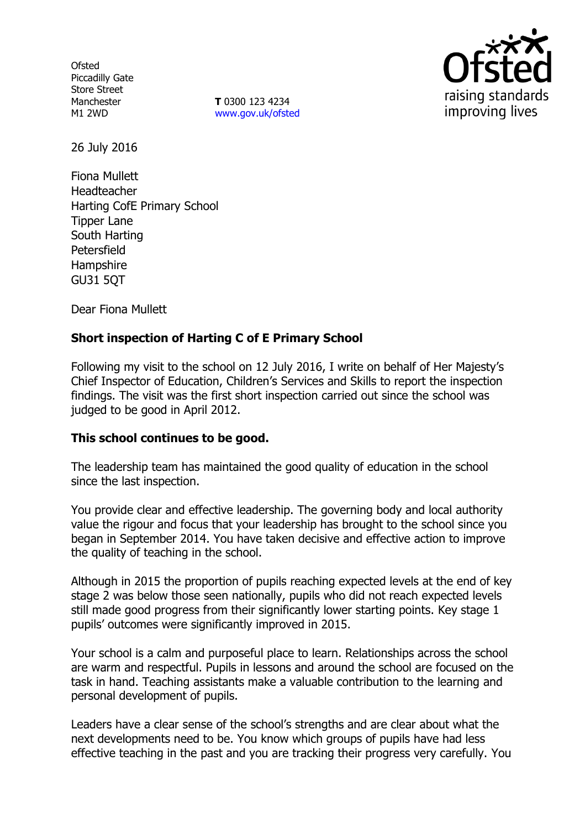**Ofsted** Piccadilly Gate Store Street Manchester M1 2WD

**T** 0300 123 4234 [www.gov.uk/ofsted](http://www.gov.uk/ofsted)



26 July 2016

Fiona Mullett Headteacher Harting CofE Primary School Tipper Lane South Harting Petersfield Hampshire GU31 5QT

Dear Fiona Mullett

# **Short inspection of Harting C of E Primary School**

Following my visit to the school on 12 July 2016, I write on behalf of Her Majesty's Chief Inspector of Education, Children's Services and Skills to report the inspection findings. The visit was the first short inspection carried out since the school was judged to be good in April 2012.

## **This school continues to be good.**

The leadership team has maintained the good quality of education in the school since the last inspection.

You provide clear and effective leadership. The governing body and local authority value the rigour and focus that your leadership has brought to the school since you began in September 2014. You have taken decisive and effective action to improve the quality of teaching in the school.

Although in 2015 the proportion of pupils reaching expected levels at the end of key stage 2 was below those seen nationally, pupils who did not reach expected levels still made good progress from their significantly lower starting points. Key stage 1 pupils' outcomes were significantly improved in 2015.

Your school is a calm and purposeful place to learn. Relationships across the school are warm and respectful. Pupils in lessons and around the school are focused on the task in hand. Teaching assistants make a valuable contribution to the learning and personal development of pupils.

Leaders have a clear sense of the school's strengths and are clear about what the next developments need to be. You know which groups of pupils have had less effective teaching in the past and you are tracking their progress very carefully. You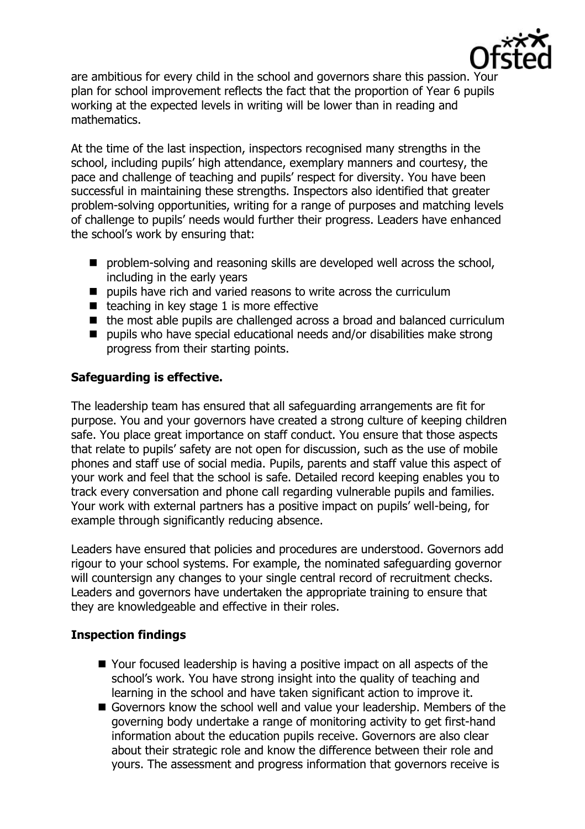

are ambitious for every child in the school and governors share this passion. Your plan for school improvement reflects the fact that the proportion of Year 6 pupils working at the expected levels in writing will be lower than in reading and mathematics.

At the time of the last inspection, inspectors recognised many strengths in the school, including pupils' high attendance, exemplary manners and courtesy, the pace and challenge of teaching and pupils' respect for diversity. You have been successful in maintaining these strengths. Inspectors also identified that greater problem-solving opportunities, writing for a range of purposes and matching levels of challenge to pupils' needs would further their progress. Leaders have enhanced the school's work by ensuring that:

- **P** problem-solving and reasoning skills are developed well across the school, including in the early years
- $\blacksquare$  pupils have rich and varied reasons to write across the curriculum
- $\blacksquare$  teaching in key stage 1 is more effective
- the most able pupils are challenged across a broad and balanced curriculum
- pupils who have special educational needs and/or disabilities make strong progress from their starting points.

# **Safeguarding is effective.**

The leadership team has ensured that all safeguarding arrangements are fit for purpose. You and your governors have created a strong culture of keeping children safe. You place great importance on staff conduct. You ensure that those aspects that relate to pupils' safety are not open for discussion, such as the use of mobile phones and staff use of social media. Pupils, parents and staff value this aspect of your work and feel that the school is safe. Detailed record keeping enables you to track every conversation and phone call regarding vulnerable pupils and families. Your work with external partners has a positive impact on pupils' well-being, for example through significantly reducing absence.

Leaders have ensured that policies and procedures are understood. Governors add rigour to your school systems. For example, the nominated safeguarding governor will countersign any changes to your single central record of recruitment checks. Leaders and governors have undertaken the appropriate training to ensure that they are knowledgeable and effective in their roles.

## **Inspection findings**

- Your focused leadership is having a positive impact on all aspects of the school's work. You have strong insight into the quality of teaching and learning in the school and have taken significant action to improve it.
- Governors know the school well and value your leadership. Members of the governing body undertake a range of monitoring activity to get first-hand information about the education pupils receive. Governors are also clear about their strategic role and know the difference between their role and yours. The assessment and progress information that governors receive is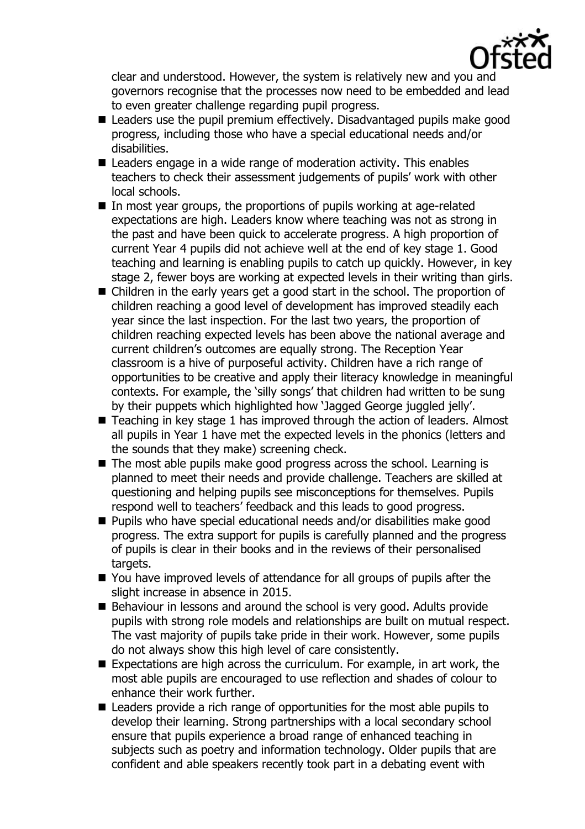

clear and understood. However, the system is relatively new and you and governors recognise that the processes now need to be embedded and lead to even greater challenge regarding pupil progress.

- Leaders use the pupil premium effectively. Disadvantaged pupils make good progress, including those who have a special educational needs and/or disabilities.
- Leaders engage in a wide range of moderation activity. This enables teachers to check their assessment judgements of pupils' work with other local schools.
- In most year groups, the proportions of pupils working at age-related expectations are high. Leaders know where teaching was not as strong in the past and have been quick to accelerate progress. A high proportion of current Year 4 pupils did not achieve well at the end of key stage 1. Good teaching and learning is enabling pupils to catch up quickly. However, in key stage 2, fewer boys are working at expected levels in their writing than girls.
- Children in the early years get a good start in the school. The proportion of children reaching a good level of development has improved steadily each year since the last inspection. For the last two years, the proportion of children reaching expected levels has been above the national average and current children's outcomes are equally strong. The Reception Year classroom is a hive of purposeful activity. Children have a rich range of opportunities to be creative and apply their literacy knowledge in meaningful contexts. For example, the 'silly songs' that children had written to be sung by their puppets which highlighted how 'Jagged George juggled jelly'.
- Teaching in key stage 1 has improved through the action of leaders. Almost all pupils in Year 1 have met the expected levels in the phonics (letters and the sounds that they make) screening check.
- The most able pupils make good progress across the school. Learning is planned to meet their needs and provide challenge. Teachers are skilled at questioning and helping pupils see misconceptions for themselves. Pupils respond well to teachers' feedback and this leads to good progress.
- Pupils who have special educational needs and/or disabilities make good progress. The extra support for pupils is carefully planned and the progress of pupils is clear in their books and in the reviews of their personalised targets.
- You have improved levels of attendance for all groups of pupils after the slight increase in absence in 2015.
- Behaviour in lessons and around the school is very good. Adults provide pupils with strong role models and relationships are built on mutual respect. The vast majority of pupils take pride in their work. However, some pupils do not always show this high level of care consistently.
- Expectations are high across the curriculum. For example, in art work, the most able pupils are encouraged to use reflection and shades of colour to enhance their work further.
- Leaders provide a rich range of opportunities for the most able pupils to develop their learning. Strong partnerships with a local secondary school ensure that pupils experience a broad range of enhanced teaching in subjects such as poetry and information technology. Older pupils that are confident and able speakers recently took part in a debating event with